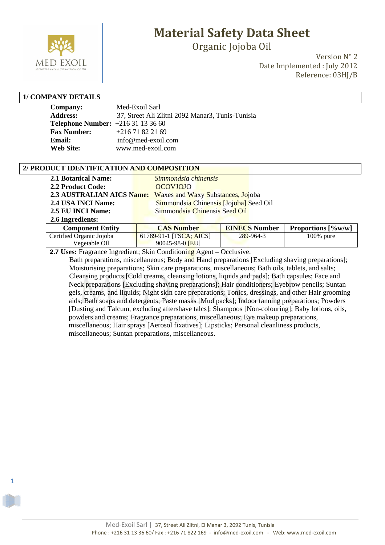

Organic Jojoba Oil

Version N° 2 Date Implemented : July 2012 Reference: 03HJ/B

#### **1/ COMPANY DETAILS**

1

| <b>Company:</b>                         | Med-Exoil Sarl                                   |
|-----------------------------------------|--------------------------------------------------|
| <b>Address:</b>                         | 37, Street Ali Zlitni 2092 Manar3, Tunis-Tunisia |
| <b>Telephone Number:</b> $+21631133660$ |                                                  |
| <b>Fax Number:</b>                      | $+21671822169$                                   |
| Email:                                  | info@med-exoil.com                               |
| <b>Web Site:</b>                        | www.med-exoil.com                                |

#### **2/ PRODUCT IDENTIFICATION AND COMPOSITION**

| <b>2.1 Botanical Name:</b>       | Simmondsia chinensis                   |                      |                    |
|----------------------------------|----------------------------------------|----------------------|--------------------|
| 2.2 Product Code:                | <b>OCOVJOJO</b>                        |                      |                    |
| <b>2.3 AUSTRALIAN AICS Name:</b> | Waxes and Waxy Substances, Jojoba      |                      |                    |
| 2.4 USA INCI Name:               | Simmondsia Chinensis [Jojoba] Seed Oil |                      |                    |
| 2.5 EU INCI Name:                | Simmondsia Chinensis Seed Oil          |                      |                    |
| 2.6 Ingredients:                 |                                        |                      |                    |
| <b>Component Entity</b>          | <b>CAS Number</b>                      | <b>EINECS Number</b> | Proportions [%w/w] |
| Certified Organic Jojoba         | 61789-91-1 [TSCA; AICS]                | 289-964-3            | 100% pure          |
| Vegetable Oil                    | 90045-98-0 [EU]                        |                      |                    |

 **2.7 Uses:** Fragrance Ingredient; Skin Conditioning Agent – Occlusive.

 Bath preparations, miscellaneous; Body and Hand preparations [Excluding shaving preparations]; Moisturising preparations; Skin care preparations, miscellaneous; Bath oils, tablets, and salts; Cleansing products [Cold creams, cleansing lotions, liquids and pads]; Bath capsules; Face and Neck preparations [Excluding shaving preparations]; Hair conditioners; Eyebrow pencils; Suntan gels, creams, and liquids; Night skin care preparations; Tonics, dressings, and other Hair grooming aids; Bath soaps and detergents; Paste masks [Mud packs]; Indoor tanning preparations; Powders [Dusting and Talcum, excluding aftershave talcs]; Shampoos [Non-colouring]; Baby lotions, oils, powders and creams; Fragrance preparations, miscellaneous; Eye makeup preparations, miscellaneous; Hair sprays [Aerosol fixatives]; Lipsticks; Personal cleanliness products, miscellaneous; Suntan preparations, miscellaneous.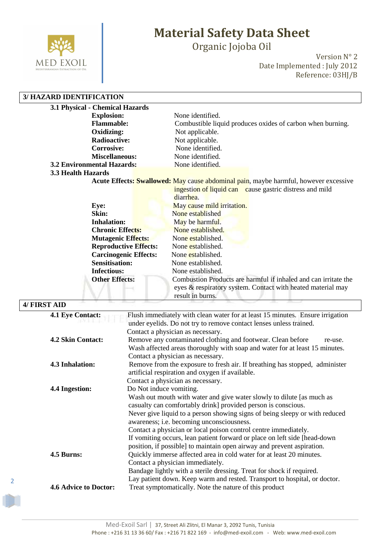

Organic Jojoba Oil

Version N° 2 Date Implemented : July 2012 Reference: 03HJ/B

#### **3/ HAZARD IDENTIFICATION**

| 3.1 Physical - Chemical Hazards   |                                                                                             |
|-----------------------------------|---------------------------------------------------------------------------------------------|
| <b>Explosion:</b>                 | None identified.                                                                            |
| <b>Flammable:</b>                 | Combustible liquid produces oxides of carbon when burning.                                  |
| Oxidizing:                        | Not applicable.                                                                             |
| <b>Radioactive:</b>               | Not applicable.                                                                             |
| <b>Corrosive:</b>                 | None identified.                                                                            |
| <b>Miscellaneous:</b>             | None identified.                                                                            |
| <b>3.2 Environmental Hazards:</b> | None identified.                                                                            |
| 3.3 Health Hazards                |                                                                                             |
|                                   | Acute Effects: <b>Swallowed:</b> May cause abdominal pain, maybe harmful, however excessive |
|                                   | ingestion of liquid can cause gastric distress and mild                                     |
|                                   | diarrhea.                                                                                   |
| Eye:                              | May cause mild irritation.                                                                  |
| Skin:                             | None established                                                                            |
| <b>Inhalation:</b>                | May be harmful.                                                                             |
| <b>Chronic Effects:</b>           | None established.                                                                           |
| <b>Mutagenic Effects:</b>         | None established.                                                                           |
| <b>Reproductive Effects:</b>      | None established.                                                                           |
| <b>Carcinogenic Effects:</b>      | None established.                                                                           |
| <b>Sensitisation:</b>             | None established.                                                                           |
| <b>Infectious:</b>                | None established.                                                                           |
| <b>Other Effects:</b>             | Combustion Products are harmful if inhaled and can irritate the                             |
|                                   | eyes & respiratory system. Contact with heated material may                                 |
|                                   | result in burns.                                                                            |
| 4/ FIRST AID                      |                                                                                             |
| <b>4.1 Eye Contact:</b>           | Flush immediately with clean water for at least 15 minutes. Ensure irrigation               |
|                                   | under eyelids. Do not try to remove contact lenses unless trained.                          |
|                                   | Contact a physician as necessary.                                                           |
| 4.2 Skin Contact:                 | Remove any contaminated clothing and footwear. Clean before<br>re-use.                      |
|                                   | Wash affected areas thoroughly with soap and water for at least 15 minutes.                 |
|                                   | Contact a physician as necessary.                                                           |

artificial respiration and oxygen if available.

Contact a physician as necessary.

Contact a physician immediately.

**4.3 Inhalation:** Remove from the exposure to fresh air. If breathing has stopped, administer

**4.4 Ingestion:** Do Not induce vomiting.

Wash out mouth with water and give water slowly to dilute [as much as casualty can comfortably drink] provided person is conscious. Never give liquid to a person showing signs of being sleepy or with reduced awareness; i.e. becoming unconsciousness.

Contact a physician or local poison control centre immediately.

If vomiting occurs, lean patient forward or place on left side [head-down position, if possible] to maintain open airway and prevent aspiration.

**4.5 Burns:** Quickly immerse affected area in cold water for at least 20 minutes.

Bandage lightly with a sterile dressing. Treat for shock if required. Lay patient down. Keep warm and rested. Transport to hospital, or doctor.

**4.6 Advice to Doctor:** Treat symptomatically. Note the nature of this product

2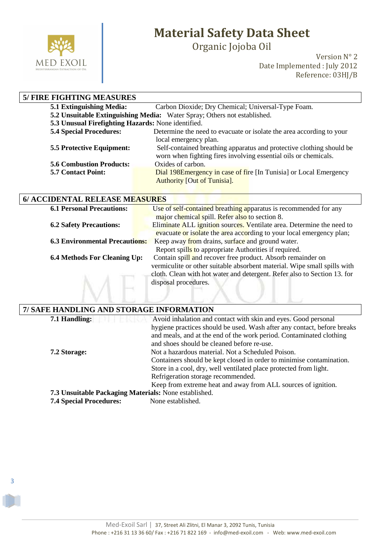

3

# **Material Safety Data Sheet**

Organic Jojoba Oil

Version N° 2 Date Implemented : July 2012 Reference: 03HJ/B

| <b>5/ FIRE FIGHTING MEASURES</b>                                         |                                                                      |
|--------------------------------------------------------------------------|----------------------------------------------------------------------|
| <b>5.1 Extinguishing Media:</b>                                          | Carbon Dioxide; Dry Chemical; Universal-Type Foam.                   |
| 5.2 Unsuitable Extinguishing Media: Water Spray; Others not established. |                                                                      |
| 5.3 Unusual Firefighting Hazards: None identified.                       |                                                                      |
| <b>5.4 Special Procedures:</b>                                           | Determine the need to evacuate or isolate the area according to your |
|                                                                          | local emergency plan.                                                |
| <b>5.5 Protective Equipment:</b>                                         | Self-contained breathing apparatus and protective clothing should be |
|                                                                          | worn when fighting fires involving essential oils or chemicals.      |
| <b>5.6 Combustion Products:</b>                                          | Oxides of carbon.                                                    |
| <b>5.7 Contact Point:</b>                                                | Dial 198E mergency in case of fire [In Tunisia] or Local Emergency   |
|                                                                          | <b>Authority [Out of Tunisia].</b>                                   |

| <b>6.1 Personal Precautions:</b>      | Use of self-contained breathing apparatus is recommended for any         |
|---------------------------------------|--------------------------------------------------------------------------|
|                                       | major chemical spill. Refer also to section 8.                           |
| <b>6.2 Safety Precautions:</b>        | Eliminate ALL ignition sources. Ventilate area. Determine the need to    |
|                                       | evacuate or isolate the area according to your local emergency plan;     |
| <b>6.3 Environmental Precautions:</b> | Keep away from drains, surface and ground water.                         |
|                                       | Report spills to appropriate Authorities if required.                    |
| <b>6.4 Methods For Cleaning Up:</b>   | Contain spill and recover free product. Absorb remainder on              |
|                                       | vermiculite or other suitable absorbent material. Wipe small spills with |
|                                       | cloth. Clean with hot water and detergent. Refer also to Section 13. for |
|                                       | disposal procedures.                                                     |
|                                       |                                                                          |
|                                       |                                                                          |

| 7/ SAFE HANDLING AND STORAGE INFORMATION              |                                                                         |  |
|-------------------------------------------------------|-------------------------------------------------------------------------|--|
| 7.1 Handling:                                         | Avoid inhalation and contact with skin and eyes. Good personal          |  |
|                                                       | hygiene practices should be used. Wash after any contact, before breaks |  |
|                                                       | and meals, and at the end of the work period. Contaminated clothing     |  |
|                                                       | and shoes should be cleaned before re-use.                              |  |
| 7.2 Storage:                                          | Not a hazardous material. Not a Scheduled Poison.                       |  |
|                                                       | Containers should be kept closed in order to minimise contamination.    |  |
|                                                       | Store in a cool, dry, well ventilated place protected from light.       |  |
|                                                       | Refrigeration storage recommended.                                      |  |
|                                                       | Keep from extreme heat and away from ALL sources of ignition.           |  |
| 7.3 Unsuitable Packaging Materials: None established. |                                                                         |  |
| <b>7.4 Special Procedures:</b>                        | None established.                                                       |  |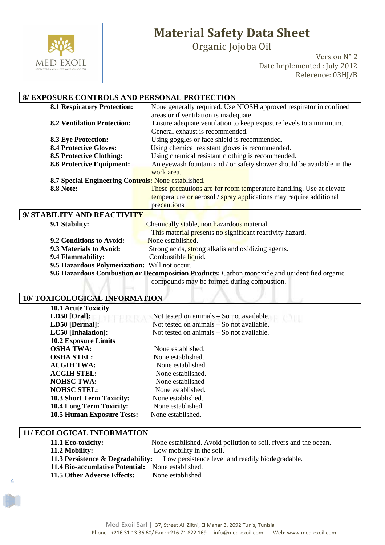

Organic Jojoba Oil

Version N° 2 Date Implemented : July 2012 Reference: 03HJ/B

### **8/ EXPOSURE CONTROLS AND PERSONAL PROTECTION**

| <b>8.1 Respiratory Protection:</b>                  | None generally required. Use NIOSH approved respirator in confined    |  |
|-----------------------------------------------------|-----------------------------------------------------------------------|--|
|                                                     | areas or if ventilation is inadequate.                                |  |
| <b>8.2 Ventilation Protection:</b>                  | Ensure adequate ventilation to keep exposure levels to a minimum.     |  |
|                                                     | General exhaust is recommended.                                       |  |
| <b>8.3 Eye Protection:</b>                          | Using goggles or face shield is recommended.                          |  |
| <b>8.4 Protective Gloves:</b>                       | Using chemical resistant gloves is recommended.                       |  |
| <b>8.5 Protective Clothing:</b>                     | Using chemical resistant clothing is recommended.                     |  |
| <b>8.6 Protective Equipment:</b>                    | An eyewash fountain and / or safety shower should be available in the |  |
|                                                     | work area.                                                            |  |
| 8.7 Special Engineering Controls: None established. |                                                                       |  |
| <b>8.8 Note:</b>                                    | These precautions are for room temperature handling. Use at elevate   |  |
|                                                     | temperature or aerosol / spray applications may require additional    |  |
|                                                     | precautions                                                           |  |
| 9/ STABILITY AND REACTIVITY                         |                                                                       |  |

| 9.1 Stability:                                | Chemically stable, non hazardous material.                                                   |
|-----------------------------------------------|----------------------------------------------------------------------------------------------|
|                                               | This material presents no significant reactivity hazard.                                     |
| 9.2 Conditions to Avoid:                      | None established.                                                                            |
| 9.3 Materials to Avoid:                       | Strong acids, strong alkalis and oxidizing agents.                                           |
| 9.4 Flammability:                             | Combustible liquid.                                                                          |
| 9.5 Hazardous Polymerization: Will not occur. |                                                                                              |
|                                               | 9.6 Hazardous Combustion or Decomposition Products: Carbon monoxide and unidentified organic |

compounds may be formed during combustion.

#### **10/ TOXICOLOGICAL INFORMATION**

| <b>10.1 Acute Toxicity</b>        |                                             |
|-----------------------------------|---------------------------------------------|
| $LD50$ [Oral]:                    | Not tested on animals $-$ So not available. |
| LD50 [Dermal]:                    | Not tested on animals – So not available.   |
| LC50 [Inhalation]:                | Not tested on animals – So not available.   |
| <b>10.2 Exposure Limits</b>       |                                             |
| <b>OSHA TWA:</b>                  | None established.                           |
| <b>OSHA STEL:</b>                 | None established.                           |
| <b>ACGIH TWA:</b>                 | None established.                           |
| <b>ACGIH STEL:</b>                | None established.                           |
| <b>NOHSC TWA:</b>                 | None established                            |
| <b>NOHSC STEL:</b>                | None established.                           |
| <b>10.3 Short Term Toxicity:</b>  | None established.                           |
| <b>10.4 Long Term Toxicity:</b>   | None established.                           |
| <b>10.5 Human Exposure Tests:</b> | None established.                           |

#### **11/ ECOLOGICAL INFORMATION**

4

| 11.1 Eco-toxicity:                                       | None established. Avoid pollution to soil, rivers and the ocean.                              |
|----------------------------------------------------------|-----------------------------------------------------------------------------------------------|
| 11.2 Mobility:                                           | Low mobility in the soil.                                                                     |
|                                                          | <b>11.3 Persistence &amp; Degradability:</b> Low persistence level and readily biodegradable. |
| <b>11.4 Bio-accumlative Potential:</b> None established. |                                                                                               |
| 11.5 Other Adverse Effects:                              | None established.                                                                             |
|                                                          |                                                                                               |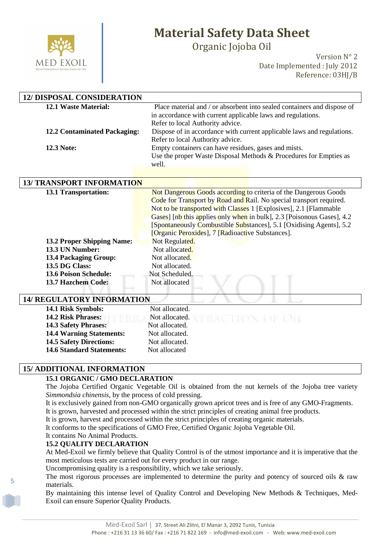

Organic Jojoba Oil

Version N° 2 Date Implemented : July 2012 Reference: 03HJ/B

| <b>12/ DISPOSAL CONSIDERATION</b>   |                                                                            |
|-------------------------------------|----------------------------------------------------------------------------|
| <b>12.1 Waste Material:</b>         | Place material and / or absorbent into sealed containers and dispose of    |
|                                     | in accordance with current applicable laws and regulations.                |
|                                     | Refer to local Authority advice.                                           |
| <b>12.2 Contaminated Packaging:</b> | Dispose of in accordance with current applicable laws and regulations.     |
| <b>12.3 Note:</b>                   | Refer to local Authority advice.                                           |
|                                     | Empty containers can have residues, gases and mists.                       |
|                                     | Use the proper Waste Disposal Methods & Procedures for Empties as<br>well. |
|                                     |                                                                            |
|                                     |                                                                            |
| <b>13/ TRANSPORT INFORMATION</b>    |                                                                            |
| <b>13.1 Transportation:</b>         | Not Dangerous Goods according to criteria of the Dangerous Goods           |
|                                     | Code for Transport by Road and Rail. No special transport required.        |
|                                     | Not to be transported with Classes 1 [Explosives], 2.1 [Flammable          |
|                                     | Gases] [nb this applies only when in bulk], 2.3 [Poisonous Gases], 4.2     |
|                                     | [Spontaneously Combustible Substances], 5.1 [Oxidising Agents], 5.2        |
|                                     | [Organic Peroxides], 7 [Radioactive Substances].                           |
| <b>13.2 Proper Shipping Name:</b>   | Not Regulated.                                                             |
| 13.3 UN Number:                     | Not allocated.                                                             |
| <b>13.4 Packaging Group:</b>        | Not allocated.                                                             |
| 13.5 DG Class:                      | Not allocated.                                                             |
| <b>13.6 Poison Schedule:</b>        | Not Scheduled.                                                             |
| 13.7 Hazchem Code:                  | Not allocated                                                              |
|                                     |                                                                            |
| <b>14/ REGULATORY INFORMATION</b>   |                                                                            |

#### **14/ REGULATORY INFORMATION**

| 14.1 Risk Symbols:               | Not allocated.                   |  |
|----------------------------------|----------------------------------|--|
| <b>14.2 Risk Phrases:</b>        | Not allocated.<br>RACTION OF CIL |  |
| <b>14.3 Safety Phrases:</b>      | Not allocated.                   |  |
| <b>14.4 Warning Statements:</b>  | Not allocated.                   |  |
| <b>14.5 Safety Directions:</b>   | Not allocated.                   |  |
| <b>14.6 Standard Statements:</b> | Not allocated                    |  |
|                                  |                                  |  |

#### **15/ ADDITIONAL INFORMATION**

#### **15.1 ORGANIC / GMO DECLARATION**

The Jojoba Certified Organic Vegetable Oil is obtained from the nut kernels of the Jojoba tree variety *Simmondsia chinensis*, by the process of cold pressing.

It is exclusively gained from non-GMO organically grown apricot trees and is free of any GMO-Fragments.

It is grown, harvested and processed within the strict principles of creating animal free products.

It is grown, harvest and processed within the strict principles of creating organic materials.

It conforms to the specifications of GMO Free, Certified Organic Jojoba Vegetable Oil.

#### It contains No Animal Products. **15.2 QUALITY DECLARATION**

5

At Med-Exoil we firmly believe that Quality Control is of the utmost importance and it is imperative that the most meticulous tests are carried out for every product in our range.

Uncompromising quality is a responsibility, which we take seriously.

The most rigorous processes are implemented to determine the purity and potency of sourced oils & raw materials.

By maintaining this intense level of Quality Control and Developing New Methods & Techniques, Med-Exoil can ensure Superior Quality Products.